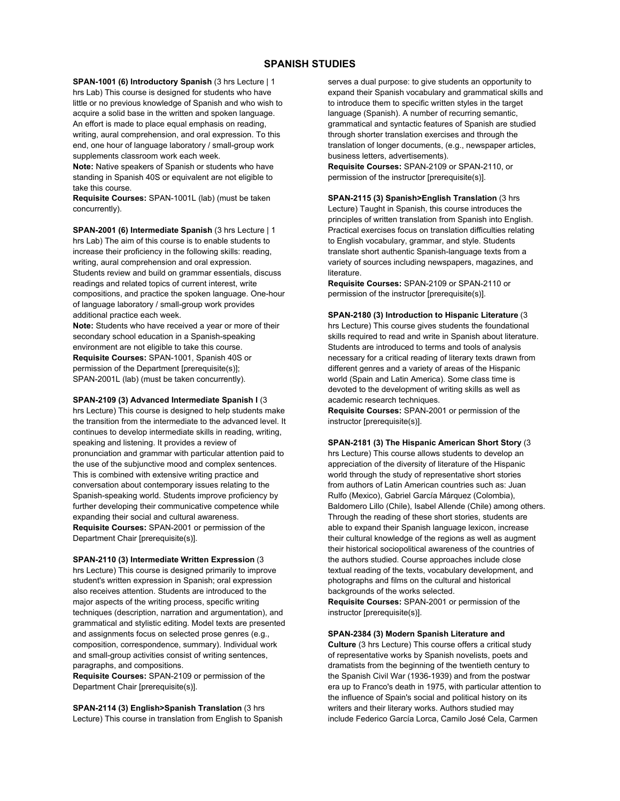## **SPANISH STUDIES**

**SPAN-1001 (6) Introductory Spanish** (3 hrs Lecture | 1 hrs Lab) This course is designed for students who have little or no previous knowledge of Spanish and who wish to acquire a solid base in the written and spoken language. An effort is made to place equal emphasis on reading, writing, aural comprehension, and oral expression. To this end, one hour of language laboratory / small-group work supplements classroom work each week.

**Note:** Native speakers of Spanish or students who have standing in Spanish 40S or equivalent are not eligible to take this course.

**Requisite Courses:** SPAN-1001L (lab) (must be taken concurrently).

**SPAN-2001 (6) Intermediate Spanish** (3 hrs Lecture | 1 hrs Lab) The aim of this course is to enable students to increase their proficiency in the following skills: reading, writing, aural comprehension and oral expression. Students review and build on grammar essentials, discuss readings and related topics of current interest, write compositions, and practice the spoken language. One-hour of language laboratory / small-group work provides additional practice each week.

**Note:** Students who have received a year or more of their secondary school education in a Spanish-speaking environment are not eligible to take this course. **Requisite Courses:** SPAN-1001, Spanish 40S or permission of the Department [prerequisite(s)]; SPAN-2001L (lab) (must be taken concurrently).

**SPAN-2109 (3) Advanced Intermediate Spanish I** (3

hrs Lecture) This course is designed to help students make the transition from the intermediate to the advanced level. It continues to develop intermediate skills in reading, writing, speaking and listening. It provides a review of pronunciation and grammar with particular attention paid to the use of the subjunctive mood and complex sentences. This is combined with extensive writing practice and conversation about contemporary issues relating to the Spanish-speaking world. Students improve proficiency by further developing their communicative competence while expanding their social and cultural awareness. **Requisite Courses:** SPAN-2001 or permission of the Department Chair [prerequisite(s)].

**SPAN-2110 (3) Intermediate Written Expression** (3

hrs Lecture) This course is designed primarily to improve student's written expression in Spanish; oral expression also receives attention. Students are introduced to the major aspects of the writing process, specific writing techniques (description, narration and argumentation), and grammatical and stylistic editing. Model texts are presented and assignments focus on selected prose genres (e.g., composition, correspondence, summary). Individual work and small-group activities consist of writing sentences, paragraphs, and compositions.

**Requisite Courses:** SPAN-2109 or permission of the Department Chair [prerequisite(s)].

**SPAN-2114 (3) English>Spanish Translation** (3 hrs Lecture) This course in translation from English to Spanish serves a dual purpose: to give students an opportunity to expand their Spanish vocabulary and grammatical skills and to introduce them to specific written styles in the target language (Spanish). A number of recurring semantic, grammatical and syntactic features of Spanish are studied through shorter translation exercises and through the translation of longer documents, (e.g., newspaper articles, business letters, advertisements).

**Requisite Courses:** SPAN-2109 or SPAN-2110, or permission of the instructor [prerequisite(s)].

**SPAN-2115 (3) Spanish>English Translation** (3 hrs Lecture) Taught in Spanish, this course introduces the principles of written translation from Spanish into English. Practical exercises focus on translation difficulties relating to English vocabulary, grammar, and style. Students translate short authentic Spanish-language texts from a variety of sources including newspapers, magazines, and literature.

**Requisite Courses:** SPAN-2109 or SPAN-2110 or permission of the instructor [prerequisite(s)].

**SPAN-2180 (3) Introduction to Hispanic Literature** (3 hrs Lecture) This course gives students the foundational skills required to read and write in Spanish about literature. Students are introduced to terms and tools of analysis necessary for a critical reading of literary texts drawn from different genres and a variety of areas of the Hispanic world (Spain and Latin America). Some class time is devoted to the development of writing skills as well as academic research techniques.

**Requisite Courses:** SPAN-2001 or permission of the instructor [prerequisite(s)].

**SPAN-2181 (3) The Hispanic American Short Story** (3

hrs Lecture) This course allows students to develop an appreciation of the diversity of literature of the Hispanic world through the study of representative short stories from authors of Latin American countries such as: Juan Rulfo (Mexico), Gabriel García Márquez (Colombia), Baldomero Lillo (Chile), Isabel Allende (Chile) among others. Through the reading of these short stories, students are able to expand their Spanish language lexicon, increase their cultural knowledge of the regions as well as augment their historical sociopolitical awareness of the countries of the authors studied. Course approaches include close textual reading of the texts, vocabulary development, and photographs and films on the cultural and historical backgrounds of the works selected. **Requisite Courses:** SPAN-2001 or permission of the

instructor [prerequisite(s)].

**SPAN-2384 (3) Modern Spanish Literature and** 

**Culture** (3 hrs Lecture) This course offers a critical study of representative works by Spanish novelists, poets and dramatists from the beginning of the twentieth century to the Spanish Civil War (1936-1939) and from the postwar era up to Franco's death in 1975, with particular attention to the influence of Spain's social and political history on its writers and their literary works. Authors studied may include Federico García Lorca, Camilo José Cela, Carmen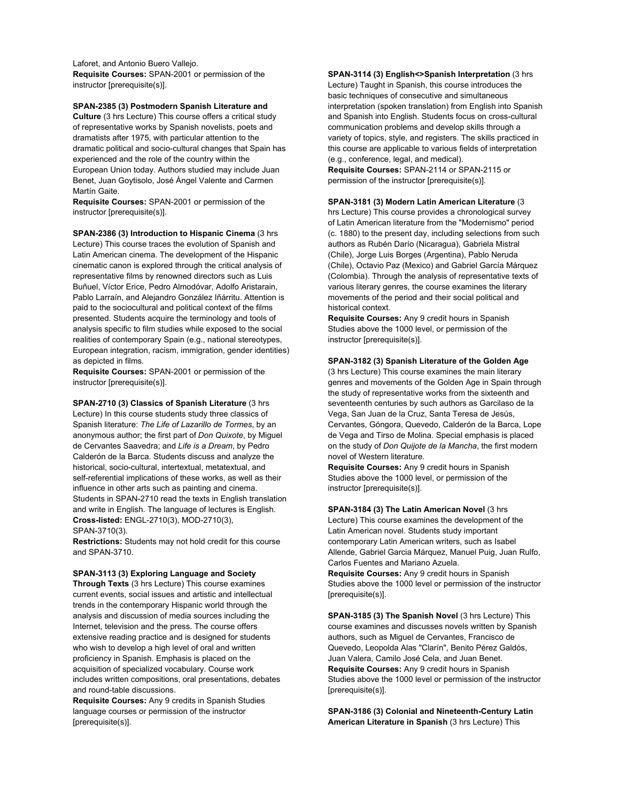Laforet, and Antonio Buero Vallejo. **Requisite Courses:** SPAN-2001 or permission of the instructor [prerequisite(s)].

**SPAN-2385 (3) Postmodern Spanish Literature and** 

**Culture** (3 hrs Lecture) This course offers a critical study of representative works by Spanish novelists, poets and dramatists after 1975, with particular attention to the dramatic political and socio-cultural changes that Spain has experienced and the role of the country within the European Union today. Authors studied may include Juan Benet, Juan Goytisolo, José Ángel Valente and Carmen Martín Gaite.

**Requisite Courses:** SPAN-2001 or permission of the instructor [prerequisite(s)].

**SPAN-2386 (3) Introduction to Hispanic Cinema** (3 hrs Lecture) This course traces the evolution of Spanish and Latin American cinema. The development of the Hispanic cinematic canon is explored through the critical analysis of representative films by renowned directors such as Luis Buñuel, Víctor Erice, Pedro Almodóvar, Adolfo Aristarain, Pablo Larraín, and Alejandro González Iñárritu. Attention is paid to the sociocultural and political context of the films presented. Students acquire the terminology and tools of analysis specific to film studies while exposed to the social realities of contemporary Spain (e.g., national stereotypes, European integration, racism, immigration, gender identities) as depicted in films.

**Requisite Courses:** SPAN-2001 or permission of the instructor [prerequisite(s)].

**SPAN-2710 (3) Classics of Spanish Literature** (3 hrs Lecture) In this course students study three classics of Spanish literature: *The Life of Lazarillo de Tormes*, by an anonymous author; the first part of *Don Quixote*, by Miguel de Cervantes Saavedra; and *Life is a Dream*, by Pedro Calderón de la Barca. Students discuss and analyze the historical, socio-cultural, intertextual, metatextual, and self-referential implications of these works, as well as their influence in other arts such as painting and cinema. Students in SPAN-2710 read the texts in English translation and write in English. The language of lectures is English. **Cross-listed:** ENGL-2710(3), MOD-2710(3), SPAN-3710(3).

**Restrictions:** Students may not hold credit for this course and SPAN-3710.

**SPAN-3113 (3) Exploring Language and Society** 

**Through Texts** (3 hrs Lecture) This course examines current events, social issues and artistic and intellectual trends in the contemporary Hispanic world through the analysis and discussion of media sources including the Internet, television and the press. The course offers extensive reading practice and is designed for students who wish to develop a high level of oral and written proficiency in Spanish. Emphasis is placed on the acquisition of specialized vocabulary. Course work includes written compositions, oral presentations, debates and round-table discussions.

**Requisite Courses:** Any 9 credits in Spanish Studies language courses or permission of the instructor [prerequisite(s)].

**SPAN-3114 (3) English<>Spanish Interpretation** (3 hrs Lecture) Taught in Spanish, this course introduces the basic techniques of consecutive and simultaneous interpretation (spoken translation) from English into Spanish and Spanish into English. Students focus on cross-cultural communication problems and develop skills through a variety of topics, style, and registers. The skills practiced in this course are applicable to various fields of interpretation (e.g., conference, legal, and medical).

**Requisite Courses:** SPAN-2114 or SPAN-2115 or permission of the instructor [prerequisite(s)].

## **SPAN-3181 (3) Modern Latin American Literature** (3

hrs Lecture) This course provides a chronological survey of Latin American literature from the "Modernismo" period (c. 1880) to the present day, including selections from such authors as Rubén Darío (Nicaragua), Gabriela Mistral (Chile), Jorge Luis Borges (Argentina), Pablo Neruda (Chile), Octavio Paz (Mexico) and Gabriel García Márquez (Colombia). Through the analysis of representative texts of various literary genres, the course examines the literary movements of the period and their social political and historical context.

**Requisite Courses:** Any 9 credit hours in Spanish Studies above the 1000 level, or permission of the instructor [prerequisite(s)].

## **SPAN-3182 (3) Spanish Literature of the Golden Age**

(3 hrs Lecture) This course examines the main literary genres and movements of the Golden Age in Spain through the study of representative works from the sixteenth and seventeenth centuries by such authors as Garcilaso de la Vega, San Juan de la Cruz, Santa Teresa de Jesús, Cervantes, Góngora, Quevedo, Calderón de la Barca, Lope de Vega and Tirso de Molina. Special emphasis is placed on the study of *Don Quijote de la Mancha*, the first modern novel of Western literature.

**Requisite Courses:** Any 9 credit hours in Spanish Studies above the 1000 level, or permission of the instructor [prerequisite(s)].

**SPAN-3184 (3) The Latin American Novel** (3 hrs Lecture) This course examines the development of the Latin American novel. Students study important contemporary Latin American writers, such as Isabel Allende, Gabriel Garcia Márquez, Manuel Puig, Juan Rulfo, Carlos Fuentes and Mariano Azuela.

**Requisite Courses:** Any 9 credit hours in Spanish Studies above the 1000 level or permission of the instructor [prerequisite(s)].

**SPAN-3185 (3) The Spanish Novel** (3 hrs Lecture) This course examines and discusses novels written by Spanish authors, such as Miguel de Cervantes, Francisco de Quevedo, Leopolda Alas "Clarín", Benito Pérez Galdós, Juan Valera, Camilo José Cela, and Juan Benet. **Requisite Courses:** Any 9 credit hours in Spanish Studies above the 1000 level or permission of the instructor [prerequisite(s)].

**SPAN-3186 (3) Colonial and Nineteenth-Century Latin American Literature in Spanish** (3 hrs Lecture) This